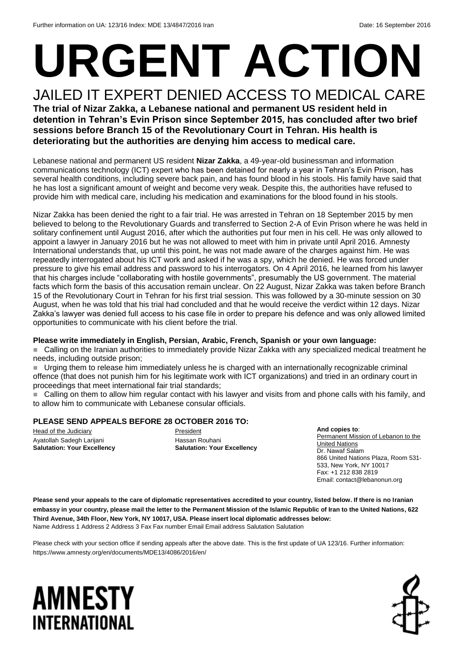# **URGENT ACTION** JAILED IT EXPERT DENIED ACCESS TO MEDICAL CARE

### **The trial of Nizar Zakka, a Lebanese national and permanent US resident held in detention in Tehran's Evin Prison since September 2015, has concluded after two brief sessions before Branch 15 of the Revolutionary Court in Tehran. His health is deteriorating but the authorities are denying him access to medical care.**

Lebanese national and permanent US resident **Nizar Zakka**, a 49-year-old businessman and information communications technology (ICT) expert who has been detained for nearly a year in Tehran's Evin Prison, has several health conditions, including severe back pain, and has found blood in his stools. His family have said that he has lost a significant amount of weight and become very weak. Despite this, the authorities have refused to provide him with medical care, including his medication and examinations for the blood found in his stools.

Nizar Zakka has been denied the right to a fair trial. He was arrested in Tehran on 18 September 2015 by men believed to belong to the Revolutionary Guards and transferred to Section 2-A of Evin Prison where he was held in solitary confinement until August 2016, after which the authorities put four men in his cell. He was only allowed to appoint a lawyer in January 2016 but he was not allowed to meet with him in private until April 2016. Amnesty International understands that, up until this point, he was not made aware of the charges against him. He was repeatedly interrogated about his ICT work and asked if he was a spy, which he denied. He was forced under pressure to give his email address and password to his interrogators. On 4 April 2016, he learned from his lawyer that his charges include "collaborating with hostile governments", presumably the US government. The material facts which form the basis of this accusation remain unclear. On 22 August, Nizar Zakka was taken before Branch 15 of the Revolutionary Court in Tehran for his first trial session. This was followed by a 30-minute session on 30 August, when he was told that his trial had concluded and that he would receive the verdict within 12 days. Nizar Zakka's lawyer was denied full access to his case file in order to prepare his defence and was only allowed limited opportunities to communicate with his client before the trial.

#### **Please write immediately in English, Persian, Arabic, French, Spanish or your own language:**

■ Calling on the Iranian authorities to immediately provide Nizar Zakka with any specialized medical treatment he needs, including outside prison;

 Urging them to release him immediately unless he is charged with an internationally recognizable criminal offence (that does not punish him for his legitimate work with ICT organizations) and tried in an ordinary court in proceedings that meet international fair trial standards;

 $\blacksquare$  Calling on them to allow him regular contact with his lawyer and visits from and phone calls with his family, and to allow him to communicate with Lebanese consular officials.

#### **PLEASE SEND APPEALS BEFORE 28 OCTOBER 2016 TO:**

Head of the Judiciary Ayatollah Sadegh Larijani **Salutation: Your Excellency**

President Hassan Rouhani **Salutation: Your Excellency**

**And copies to**: Permanent Mission of Lebanon to the United Nations Dr. Nawaf Salam 866 United Nations Plaza, Room 531- 533, New York, NY 10017 Fax: +1 212 838 2819 Email: contact@lebanonun.org

**Please send your appeals to the care of diplomatic representatives accredited to your country, listed below. If there is no Iranian embassy in your country, please mail the letter to the Permanent Mission of the Islamic Republic of Iran to the United Nations, 622 Third Avenue, 34th Floor, New York, NY 10017, USA. Please insert local diplomatic addresses below:** Name Address 1 Address 2 Address 3 Fax Fax number Email Email address Salutation Salutation

Please check with your section office if sending appeals after the above date. This is the first update of UA 123/16. Further information: https://www.amnesty.org/en/documents/MDE13/4086/2016/en/